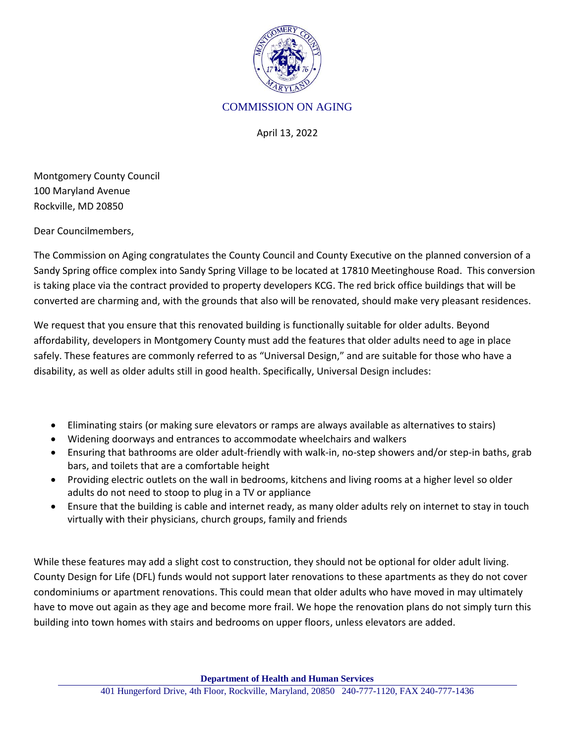

## COMMISSION ON AGING

April 13, 2022

Montgomery County Council 100 Maryland Avenue Rockville, MD 20850

Dear Councilmembers,

The Commission on Aging congratulates the County Council and County Executive on the planned conversion of a Sandy Spring office complex into Sandy Spring Village to be located at 17810 Meetinghouse Road. This conversion is taking place via the contract provided to property developers KCG. The red brick office buildings that will be converted are charming and, with the grounds that also will be renovated, should make very pleasant residences.

We request that you ensure that this renovated building is functionally suitable for older adults. Beyond affordability, developers in Montgomery County must add the features that older adults need to age in place safely. These features are commonly referred to as "Universal Design," and are suitable for those who have a disability, as well as older adults still in good health. Specifically, Universal Design includes:

- Eliminating stairs (or making sure elevators or ramps are always available as alternatives to stairs)
- Widening doorways and entrances to accommodate wheelchairs and walkers
- Ensuring that bathrooms are older adult-friendly with walk-in, no-step showers and/or step-in baths, grab bars, and toilets that are a comfortable height
- Providing electric outlets on the wall in bedrooms, kitchens and living rooms at a higher level so older adults do not need to stoop to plug in a TV or appliance
- Ensure that the building is cable and internet ready, as many older adults rely on internet to stay in touch virtually with their physicians, church groups, family and friends

While these features may add a slight cost to construction, they should not be optional for older adult living. County Design for Life (DFL) funds would not support later renovations to these apartments as they do not cover condominiums or apartment renovations. This could mean that older adults who have moved in may ultimately have to move out again as they age and become more frail. We hope the renovation plans do not simply turn this building into town homes with stairs and bedrooms on upper floors, unless elevators are added.

**Department of Health and Human Services**